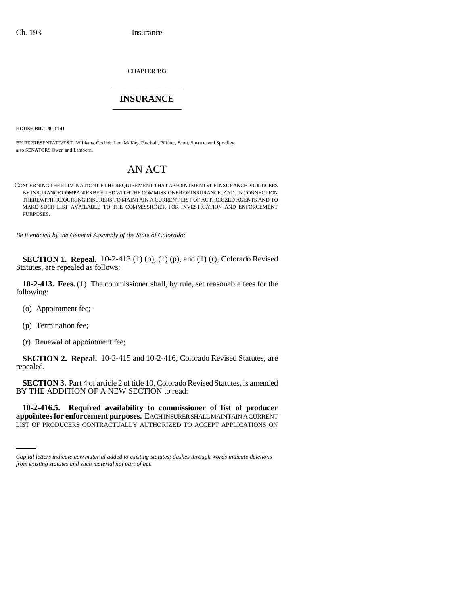CHAPTER 193 \_\_\_\_\_\_\_\_\_\_\_\_\_\_\_

## **INSURANCE** \_\_\_\_\_\_\_\_\_\_\_\_\_\_\_

**HOUSE BILL 99-1141** 

BY REPRESENTATIVES T. Williams, Gotlieb, Lee, McKay, Paschall, Pfiffner, Scott, Spence, and Spradley; also SENATORS Owen and Lamborn.

## AN ACT

CONCERNING THE ELIMINATION OF THE REQUIREMENT THAT APPOINTMENTS OF INSURANCE PRODUCERS BY INSURANCE COMPANIES BE FILED WITH THE COMMISSIONER OF INSURANCE, AND, IN CONNECTION THEREWITH, REQUIRING INSURERS TO MAINTAIN A CURRENT LIST OF AUTHORIZED AGENTS AND TO MAKE SUCH LIST AVAILABLE TO THE COMMISSIONER FOR INVESTIGATION AND ENFORCEMENT PURPOSES.

*Be it enacted by the General Assembly of the State of Colorado:*

**SECTION 1. Repeal.** 10-2-413 (1) (o), (1) (p), and (1) (r), Colorado Revised Statutes, are repealed as follows:

**10-2-413. Fees.** (1) The commissioner shall, by rule, set reasonable fees for the following:

- (o) Appointment fee;
- (p) Termination fee;
- (r) Renewal of appointment fee;

**SECTION 2. Repeal.** 10-2-415 and 10-2-416, Colorado Revised Statutes, are repealed.

**SECTION 3.** Part 4 of article 2 of title 10, Colorado Revised Statutes, is amended BY THE ADDITION OF A NEW SECTION to read:

 **10-2-416.5. Required availability to commissioner of list of producer appointees for enforcement purposes.** EACH INSURER SHALL MAINTAIN A CURRENT LIST OF PRODUCERS CONTRACTUALLY AUTHORIZED TO ACCEPT APPLICATIONS ON

*Capital letters indicate new material added to existing statutes; dashes through words indicate deletions from existing statutes and such material not part of act.*